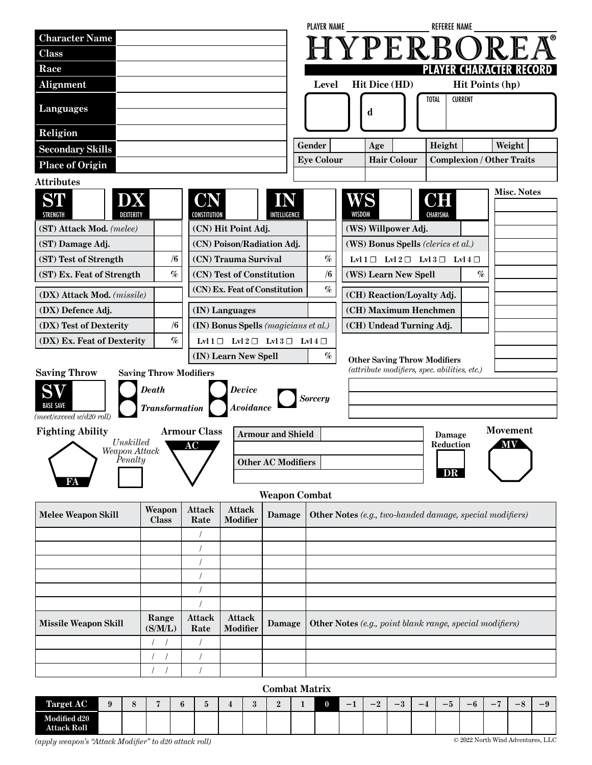|                                                                                                   |                               |                       |                                                                 |                           | <b>PLAYER NAME</b>          |                     |                                     | <b>REFEREE NAME</b>                                             |                                            |
|---------------------------------------------------------------------------------------------------|-------------------------------|-----------------------|-----------------------------------------------------------------|---------------------------|-----------------------------|---------------------|-------------------------------------|-----------------------------------------------------------------|--------------------------------------------|
| <b>Character Name</b>                                                                             |                               |                       |                                                                 |                           |                             |                     |                                     | HYPERBOR                                                        |                                            |
| <b>Class</b>                                                                                      |                               |                       |                                                                 |                           |                             |                     |                                     |                                                                 |                                            |
| Race                                                                                              |                               |                       |                                                                 |                           |                             |                     |                                     |                                                                 | PLAYER CHARACTER RECORD                    |
| Alignment                                                                                         |                               |                       |                                                                 |                           | Level                       |                     | <b>Hit Dice (HD)</b>                |                                                                 | Hit Points (hp)                            |
| <b>Languages</b>                                                                                  |                               |                       |                                                                 |                           | <b>TOTAL</b><br>d           |                     |                                     | <b>CURRENT</b>                                                  |                                            |
| Religion                                                                                          |                               |                       |                                                                 |                           |                             |                     |                                     |                                                                 |                                            |
| <b>Secondary Skills</b>                                                                           |                               |                       |                                                                 |                           | Gender<br><b>Eye Colour</b> |                     | Height<br>Age                       |                                                                 | Weight<br><b>Complexion / Other Traits</b> |
| <b>Place of Origin</b>                                                                            |                               |                       |                                                                 |                           |                             |                     | <b>Hair Colour</b>                  |                                                                 |                                            |
| <b>Attributes</b>                                                                                 |                               |                       |                                                                 |                           |                             |                     |                                     |                                                                 |                                            |
| ST<br>Χ<br>DEXTERITY<br><b>STRENGTH</b>                                                           |                               | JN<br>CONSTITUTION    |                                                                 | INTELLIGENCE              |                             | WS<br><b>WISDOM</b> |                                     | D H<br>CHARISMA                                                 | <b>Misc. Notes</b>                         |
| (ST) Attack Mod. (melee)                                                                          |                               |                       | (CN) Hit Point Adj.                                             |                           |                             |                     | (WS) Willpower Adj.                 |                                                                 |                                            |
| (ST) Damage Adj.                                                                                  |                               |                       | (CN) Poison/Radiation Adj.                                      |                           |                             |                     | (WS) Bonus Spells (clerics et al.)  |                                                                 |                                            |
| (ST) Test of Strength                                                                             | /6                            |                       | (CN) Trauma Survival                                            |                           | $\%$                        |                     |                                     | Lvl $1 \square$ Lvl $2 \square$ Lvl $3 \square$ Lvl $4 \square$ |                                            |
| (ST) Ex. Feat of Strength                                                                         | $\%$                          |                       | (CN) Test of Constitution                                       |                           | /6                          |                     | (WS) Learn New Spell                |                                                                 | $\%$                                       |
| (DX) Attack Mod. (missile)                                                                        |                               |                       | (CN) Ex. Feat of Constitution                                   |                           | $\%$                        |                     | (CH) Reaction/Loyalty Adj.          |                                                                 |                                            |
| (DX) Defence Adj.                                                                                 |                               |                       | (IN) Languages                                                  |                           |                             |                     | (CH) Maximum Henchmen               |                                                                 |                                            |
| (DX) Test of Dexterity                                                                            | /6                            |                       | (IN) Bonus Spells (magicians et al.)                            |                           |                             |                     | (CH) Undead Turning Adj.            |                                                                 |                                            |
| (DX) Ex. Feat of Dexterity                                                                        | $\%$                          |                       | Lvl $1 \square$ Lvl $2 \square$ Lvl $3 \square$ Lvl $4 \square$ |                           |                             |                     |                                     |                                                                 |                                            |
|                                                                                                   |                               |                       | (IN) Learn New Spell                                            |                           | $\%$                        |                     | <b>Other Saving Throw Modifiers</b> |                                                                 |                                            |
| <b>Saving Throw</b>                                                                               | <b>Saving Throw Modifiers</b> |                       |                                                                 |                           |                             |                     |                                     | (attribute modifiers, spec. abilities, etc.)                    |                                            |
|                                                                                                   | <b>Death</b>                  |                       | Device                                                          |                           |                             |                     |                                     |                                                                 |                                            |
| O<br><b>BASE SAVE</b>                                                                             | <b>Transformation</b>         |                       | <b>Avoidance</b>                                                |                           | <b>Sorcery</b>              |                     |                                     |                                                                 |                                            |
| (meet/exceed w/d20 roll)                                                                          |                               |                       |                                                                 |                           |                             |                     |                                     |                                                                 |                                            |
| <b>Fighting Ability</b>                                                                           |                               | <b>Armour Class</b>   |                                                                 | <b>Armour and Shield</b>  |                             |                     |                                     | Damage                                                          | <b>Movement</b>                            |
| $\noindent Unskilled$<br>$\begin{array}{c} \textit{Weapon Attack}\\ \textit{Penalty} \end{array}$ |                               | AC                    |                                                                 |                           |                             |                     |                                     | <b>Reduction</b>                                                | <b>MV</b>                                  |
|                                                                                                   |                               |                       |                                                                 | <b>Other AC Modifiers</b> |                             |                     |                                     |                                                                 |                                            |
|                                                                                                   |                               |                       |                                                                 |                           |                             |                     |                                     | DR                                                              |                                            |
|                                                                                                   |                               |                       |                                                                 | <b>Weapon Combat</b>      |                             |                     |                                     |                                                                 |                                            |
| <b>Melee Weapon Skill</b>                                                                         | Weapon<br><b>Class</b>        | <b>Attack</b><br>Rate | <b>Attack</b><br><b>Modifier</b>                                | Damage                    |                             |                     |                                     | Other Notes (e.g., two-handed damage, special modifiers)        |                                            |
|                                                                                                   |                               |                       |                                                                 |                           |                             |                     |                                     |                                                                 |                                            |
|                                                                                                   |                               |                       |                                                                 |                           |                             |                     |                                     |                                                                 |                                            |
|                                                                                                   |                               |                       |                                                                 |                           |                             |                     |                                     |                                                                 |                                            |
|                                                                                                   |                               |                       |                                                                 |                           |                             |                     |                                     |                                                                 |                                            |
|                                                                                                   |                               |                       |                                                                 |                           |                             |                     |                                     |                                                                 |                                            |
|                                                                                                   | Range                         | <b>Attack</b>         | <b>Attack</b>                                                   |                           |                             |                     |                                     |                                                                 |                                            |
| <b>Missile Weapon Skill</b>                                                                       | (S/M/L)                       | Rate                  | <b>Modifier</b>                                                 | Damage                    |                             |                     |                                     | Other Notes (e.g., point blank range, special modifiers)        |                                            |
|                                                                                                   | $\sqrt{ }$                    |                       |                                                                 |                           |                             |                     |                                     |                                                                 |                                            |
|                                                                                                   | $\sqrt{ }$<br>$\sqrt{ }$      |                       |                                                                 |                           |                             |                     |                                     |                                                                 |                                            |
|                                                                                                   |                               |                       |                                                                 |                           |                             |                     |                                     |                                                                 |                                            |
|                                                                                                   |                               |                       |                                                                 | <b>Combat Matrix</b>      |                             |                     |                                     |                                                                 |                                            |

| <b>Target AC</b>                   |  |  | ಀ | $\cdot$<br>ಀ |  | -<br>- | $\Omega$<br>$\overline{\phantom{0}}$<br>, | $\Omega$<br>$-\delta$ | $\overline{\phantom{0}}$ | $-9$ | $-\mathbf{u}$ | - | $-$ | -9 |
|------------------------------------|--|--|---|--------------|--|--------|-------------------------------------------|-----------------------|--------------------------|------|---------------|---|-----|----|
| <b>Modified d20</b><br>Attack Roll |  |  |   |              |  |        |                                           |                       |                          |      |               |   |     |    |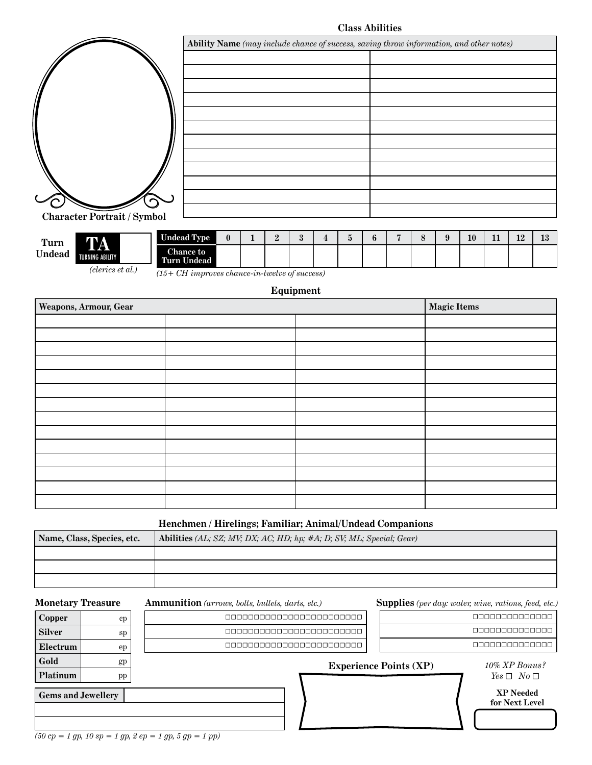**Class Abilities**

|                                    | Ability Name (may include chance of success, saving throw information, and other notes) |
|------------------------------------|-----------------------------------------------------------------------------------------|
|                                    |                                                                                         |
|                                    |                                                                                         |
|                                    |                                                                                         |
|                                    |                                                                                         |
|                                    |                                                                                         |
|                                    |                                                                                         |
|                                    |                                                                                         |
| <b>Character Portrait / Symbol</b> |                                                                                         |

| Turn   |  |
|--------|--|
| Undead |  |

**TA** TURNING ABILITY



*(15+ CH improves chance-in-twelve of success)*

### **Equipment**

| Weapons, Armour, Gear | <b>Magic Items</b> |  |
|-----------------------|--------------------|--|
|                       |                    |  |
|                       |                    |  |
|                       |                    |  |
|                       |                    |  |
|                       |                    |  |
|                       |                    |  |
|                       |                    |  |
|                       |                    |  |
|                       |                    |  |
|                       |                    |  |
|                       |                    |  |
|                       |                    |  |
|                       |                    |  |
|                       |                    |  |

### **Henchmen / Hirelings; Familiar; Animal/Undead Companions**

| Name, Class, Species, etc. | Abilities (AL; SZ; MV; DX; AC; HD; hp; #A; D; SV; ML; Special; Gear) |
|----------------------------|----------------------------------------------------------------------|
|                            |                                                                      |
|                            |                                                                      |
|                            |                                                                      |
|                            |                                                                      |

**Monetary Treasure Ammunition** *(arrows, bolts, bullets, darts, etc.)*

**Supplies** *(per day: water, wine, rations, feed, etc.)*

| <b>Gems and Jewellery</b> |                     |                          |                          |                               | XP Needed<br>for Next Level |  |
|---------------------------|---------------------|--------------------------|--------------------------|-------------------------------|-----------------------------|--|
| <b>Platinum</b>           | $\operatorname{pp}$ |                          |                          |                               | $Yes \Box No \Box$          |  |
| Gold                      | gp                  |                          |                          | <b>Experience Points (XP)</b> | 10% XP Bonus?               |  |
| Electrum                  | ep                  |                          | 000000000000000000000000 |                               |                             |  |
| <b>Silver</b>             | sp                  |                          | 000000000000000000000000 |                               |                             |  |
| Copper                    | cp                  | 000000000000000000000000 | 00000000000000           |                               |                             |  |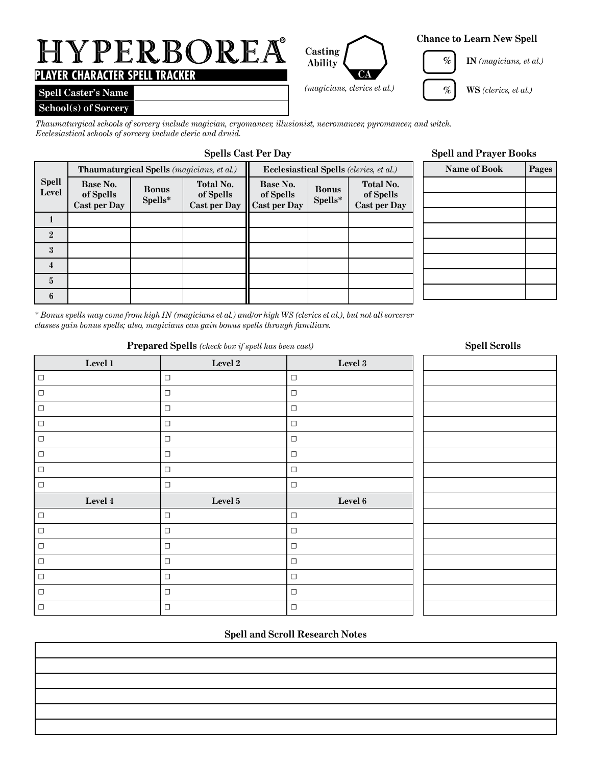# HYPERBOREA **®**

# **PLAYER CHARACTER SPELL TRACKER**

# **Spell Caster's Name**

## **School(s) of Sorcery**

*Thaumaturgical schools of sorcery include magician, cryomancer, illusionist, necromancer, pyromancer, and witch. Ecclesiastical schools of sorcery include cleric and druid.* 

|                       |                                              |                         | <b>Thaumaturgical Spells</b> ( <i>magicians, et al.</i> ) | <b>Ecclesiastical Spells</b> (clerics, et al.) |                         |                                                      |  |
|-----------------------|----------------------------------------------|-------------------------|-----------------------------------------------------------|------------------------------------------------|-------------------------|------------------------------------------------------|--|
| <b>Spell</b><br>Level | Base No.<br>of Spells<br><b>Cast per Day</b> | <b>Bonus</b><br>Spells* | <b>Total No.</b><br>of Spells<br><b>Cast per Day</b>      | Base No.<br>of Spells<br><b>Cast per Day</b>   | <b>Bonus</b><br>Spells* | <b>Total No.</b><br>of Spells<br><b>Cast per Day</b> |  |
|                       |                                              |                         |                                                           |                                                |                         |                                                      |  |
| $\mathbf{2}$          |                                              |                         |                                                           |                                                |                         |                                                      |  |
| $\boldsymbol{3}$      |                                              |                         |                                                           |                                                |                         |                                                      |  |
| 4                     |                                              |                         |                                                           |                                                |                         |                                                      |  |
| $\overline{5}$        |                                              |                         |                                                           |                                                |                         |                                                      |  |
| 6                     |                                              |                         |                                                           |                                                |                         |                                                      |  |

# **Spells Cast Per Day Spell and Prayer Books**

| <b>Name of Book</b> | Pages |
|---------------------|-------|
|                     |       |
|                     |       |
|                     |       |
|                     |       |
|                     |       |
|                     |       |
|                     |       |
|                     |       |

*\* Bonus spells may come from high IN (magicians et al.) and/or high WS (clerics et al.), but not all sorcerer classes gain bonus spells; also, magicians can gain bonus spells through familiars.*

### **Prepared Spells** *(check box if spell has been cast)*

# **Level 1 Level 2 Level 3** ☐ ☐ ☐ ☐ ☐ ☐ ☐ ☐ ☐ ☐ ☐ ☐ ☐ ☐ ☐ ☐ ☐ ☐ ☐ ☐ ☐ ☐ ☐ ☐ **Level 4 Level 5 Level 6** ☐ ☐ ☐ ☐ ☐ ☐ ☐ ☐ ☐ ☐ ☐ ☐ ☐ ☐ ☐ ☐ ☐ ☐ ☐ ☐ ☐

# **Spell and Scroll Research Notes**

# **Spell Scrolls**

## **Chance to Learn New Spell**



**CA**

**Casting Ability**

**IN** *(magicians, et al.)* **%**